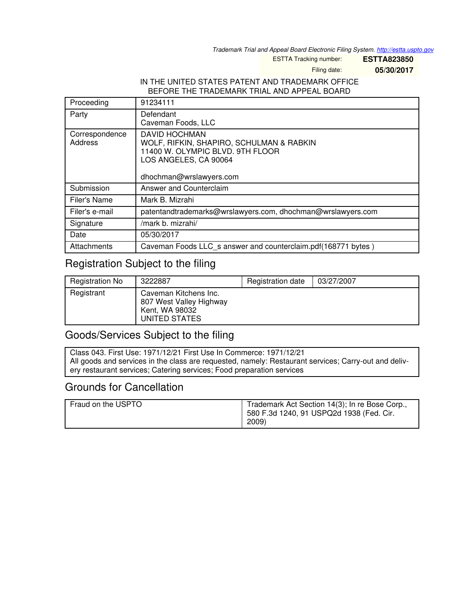*Trademark Trial and Appeal Board Electronic Filing System. <http://estta.uspto.gov>*

ESTTA Tracking number: **ESTTA823850**

Filing date: **05/30/2017**

#### IN THE UNITED STATES PATENT AND TRADEMARK OFFICE BEFORE THE TRADEMARK TRIAL AND APPEAL BOARD

| Proceeding                | 91234111                                                                                                                                                 |  |
|---------------------------|----------------------------------------------------------------------------------------------------------------------------------------------------------|--|
| Party                     | Defendant<br>Caveman Foods, LLC                                                                                                                          |  |
| Correspondence<br>Address | <b>DAVID HOCHMAN</b><br>WOLF, RIFKIN, SHAPIRO, SCHULMAN & RABKIN<br>11400 W. OLYMPIC BLVD. 9TH FLOOR<br>LOS ANGELES, CA 90064<br>dhochman@wrslawyers.com |  |
| Submission                | Answer and Counterclaim                                                                                                                                  |  |
| Filer's Name              | Mark B. Mizrahi                                                                                                                                          |  |
| Filer's e-mail            | patentandtrademarks@wrslawyers.com, dhochman@wrslawyers.com                                                                                              |  |
| Signature                 | /mark b. mizrahi/                                                                                                                                        |  |
| Date                      | 05/30/2017                                                                                                                                               |  |
| Attachments               | Caveman Foods LLC s answer and counterclaim.pdf(168771 bytes)                                                                                            |  |

## Registration Subject to the filing

| <b>Registration No</b> | 3222887                                                                             | Registration date | 03/27/2007 |
|------------------------|-------------------------------------------------------------------------------------|-------------------|------------|
| Registrant             | Caveman Kitchens Inc.<br>807 West Valley Highway<br>Kent, WA 98032<br>UNITED STATES |                   |            |

## Goods/Services Subject to the filing

Class 043. First Use: 1971/12/21 First Use In Commerce: 1971/12/21 All goods and services in the class are requested, namely: Restaurant services; Carry-out and delivery restaurant services; Catering services; Food preparation services

## Grounds for Cancellation

| Fraud on the USPTO | Trademark Act Section 14(3); In re Bose Corp.,<br>580 F.3d 1240, 91 USPQ2d 1938 (Fed. Cir.<br>2009) |
|--------------------|-----------------------------------------------------------------------------------------------------|
|                    |                                                                                                     |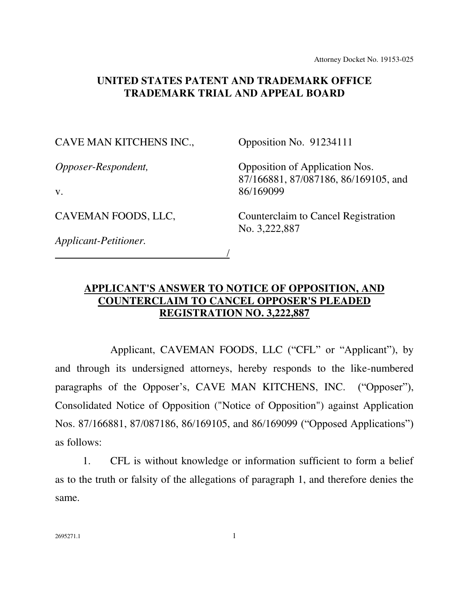Attorney Docket No. 19153-025

### **UNITED STATES PATENT AND TRADEMARK OFFICE TRADEMARK TRIAL AND APPEAL BOARD**

#### CAVE MAN KITCHENS INC.,

Opposition No. 91234111

*Opposer-Respondent,* 

v.

CAVEMAN FOODS, LLC,

/

Opposition of Application Nos. 87/166881, 87/087186, 86/169105, and 86/169099

Counterclaim to Cancel Registration No. 3,222,887

*Applicant-Petitioner.* 

## **APPLICANT'S ANSWER TO NOTICE OF OPPOSITION, AND COUNTERCLAIM TO CANCEL OPPOSER'S PLEADED REGISTRATION NO. 3,222,887**

Applicant, CAVEMAN FOODS, LLC ("CFL" or "Applicant"), by and through its undersigned attorneys, hereby responds to the like-numbered paragraphs of the Opposer's, CAVE MAN KITCHENS, INC. ("Opposer"), Consolidated Notice of Opposition ("Notice of Opposition") against Application Nos. 87/166881, 87/087186, 86/169105, and 86/169099 ("Opposed Applications") as follows:

1. CFL is without knowledge or information sufficient to form a belief as to the truth or falsity of the allegations of paragraph 1, and therefore denies the same.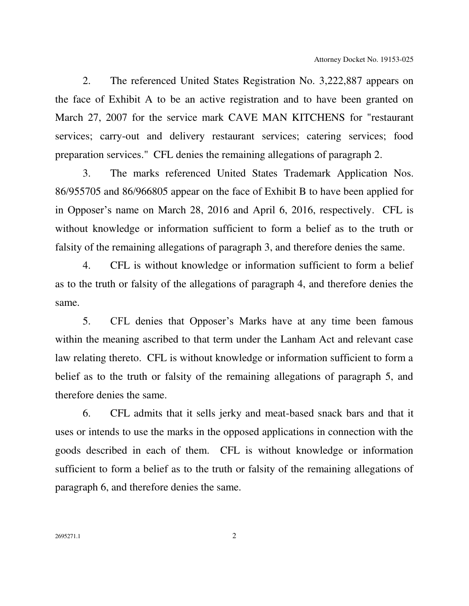2. The referenced United States Registration No. 3,222,887 appears on the face of Exhibit A to be an active registration and to have been granted on March 27, 2007 for the service mark CAVE MAN KITCHENS for "restaurant services; carry-out and delivery restaurant services; catering services; food preparation services." CFL denies the remaining allegations of paragraph 2.

3. The marks referenced United States Trademark Application Nos. 86/955705 and 86/966805 appear on the face of Exhibit B to have been applied for in Opposer's name on March 28, 2016 and April 6, 2016, respectively. CFL is without knowledge or information sufficient to form a belief as to the truth or falsity of the remaining allegations of paragraph 3, and therefore denies the same.

4. CFL is without knowledge or information sufficient to form a belief as to the truth or falsity of the allegations of paragraph 4, and therefore denies the same.

5. CFL denies that Opposer's Marks have at any time been famous within the meaning ascribed to that term under the Lanham Act and relevant case law relating thereto. CFL is without knowledge or information sufficient to form a belief as to the truth or falsity of the remaining allegations of paragraph 5, and therefore denies the same.

6. CFL admits that it sells jerky and meat-based snack bars and that it uses or intends to use the marks in the opposed applications in connection with the goods described in each of them. CFL is without knowledge or information sufficient to form a belief as to the truth or falsity of the remaining allegations of paragraph 6, and therefore denies the same.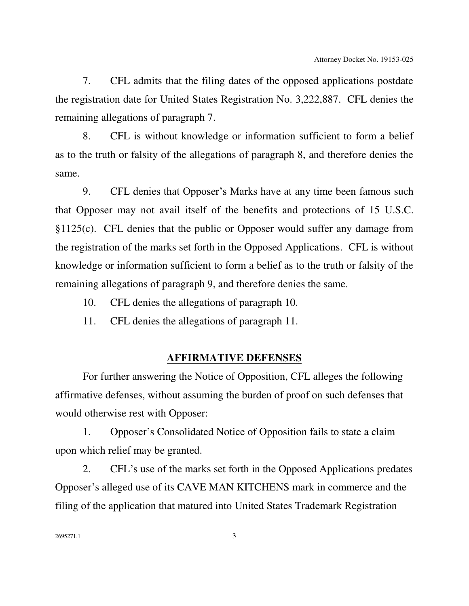7. CFL admits that the filing dates of the opposed applications postdate the registration date for United States Registration No. 3,222,887. CFL denies the remaining allegations of paragraph 7.

8. CFL is without knowledge or information sufficient to form a belief as to the truth or falsity of the allegations of paragraph 8, and therefore denies the same.

9. CFL denies that Opposer's Marks have at any time been famous such that Opposer may not avail itself of the benefits and protections of 15 U.S.C. §1125(c). CFL denies that the public or Opposer would suffer any damage from the registration of the marks set forth in the Opposed Applications. CFL is without knowledge or information sufficient to form a belief as to the truth or falsity of the remaining allegations of paragraph 9, and therefore denies the same.

- 10. CFL denies the allegations of paragraph 10.
- 11. CFL denies the allegations of paragraph 11.

#### **AFFIRMATIVE DEFENSES**

 For further answering the Notice of Opposition, CFL alleges the following affirmative defenses, without assuming the burden of proof on such defenses that would otherwise rest with Opposer:

1. Opposer's Consolidated Notice of Opposition fails to state a claim upon which relief may be granted.

2. CFL's use of the marks set forth in the Opposed Applications predates Opposer's alleged use of its CAVE MAN KITCHENS mark in commerce and the filing of the application that matured into United States Trademark Registration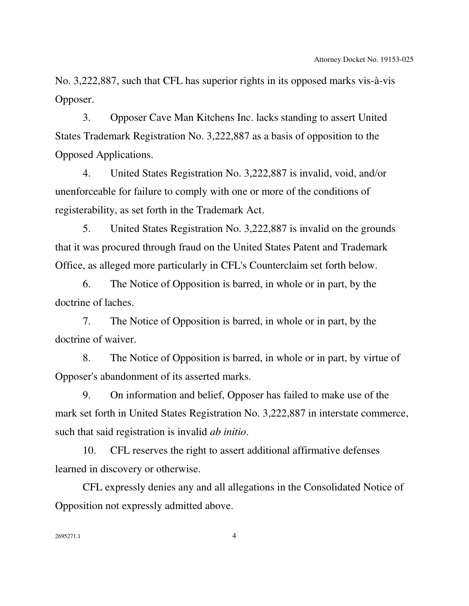No. 3,222,887, such that CFL has superior rights in its opposed marks vis-à-vis Opposer.

3. Opposer Cave Man Kitchens Inc. lacks standing to assert United States Trademark Registration No. 3,222,887 as a basis of opposition to the Opposed Applications.

4. United States Registration No. 3,222,887 is invalid, void, and/or unenforceable for failure to comply with one or more of the conditions of registerability, as set forth in the Trademark Act.

5. United States Registration No. 3,222,887 is invalid on the grounds that it was procured through fraud on the United States Patent and Trademark Office, as alleged more particularly in CFL's Counterclaim set forth below.

6. The Notice of Opposition is barred, in whole or in part, by the doctrine of laches.

7. The Notice of Opposition is barred, in whole or in part, by the doctrine of waiver.

8. The Notice of Opposition is barred, in whole or in part, by virtue of Opposer's abandonment of its asserted marks.

9. On information and belief, Opposer has failed to make use of the mark set forth in United States Registration No. 3,222,887 in interstate commerce, such that said registration is invalid *ab initio*.

10. CFL reserves the right to assert additional affirmative defenses learned in discovery or otherwise.

CFL expressly denies any and all allegations in the Consolidated Notice of Opposition not expressly admitted above.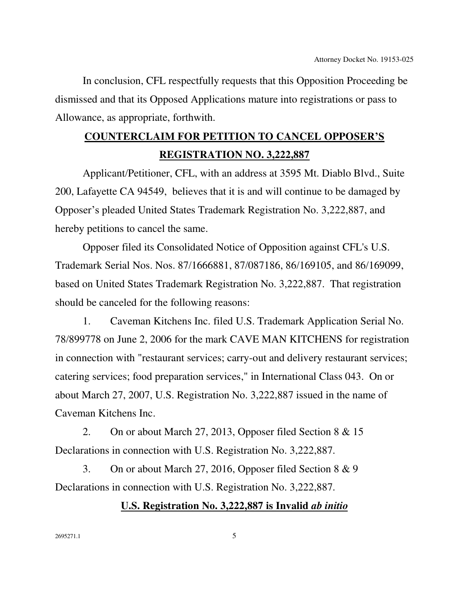In conclusion, CFL respectfully requests that this Opposition Proceeding be dismissed and that its Opposed Applications mature into registrations or pass to Allowance, as appropriate, forthwith.

# **COUNTERCLAIM FOR PETITION TO CANCEL OPPOSER'S REGISTRATION NO. 3,222,887**

 Applicant/Petitioner, CFL, with an address at 3595 Mt. Diablo Blvd., Suite 200, Lafayette CA 94549, believes that it is and will continue to be damaged by Opposer's pleaded United States Trademark Registration No. 3,222,887, and hereby petitions to cancel the same.

Opposer filed its Consolidated Notice of Opposition against CFL's U.S. Trademark Serial Nos. Nos. 87/1666881, 87/087186, 86/169105, and 86/169099, based on United States Trademark Registration No. 3,222,887. That registration should be canceled for the following reasons:

1. Caveman Kitchens Inc. filed U.S. Trademark Application Serial No. 78/899778 on June 2, 2006 for the mark CAVE MAN KITCHENS for registration in connection with "restaurant services; carry-out and delivery restaurant services; catering services; food preparation services," in International Class 043. On or about March 27, 2007, U.S. Registration No. 3,222,887 issued in the name of Caveman Kitchens Inc.

2. On or about March 27, 2013, Opposer filed Section 8 & 15 Declarations in connection with U.S. Registration No. 3,222,887.

3. On or about March 27, 2016, Opposer filed Section 8 & 9 Declarations in connection with U.S. Registration No. 3,222,887.

## **U.S. Registration No. 3,222,887 is Invalid** *ab initio*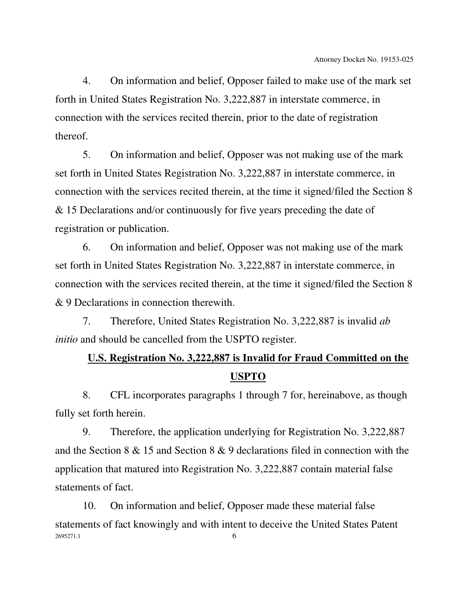4. On information and belief, Opposer failed to make use of the mark set forth in United States Registration No. 3,222,887 in interstate commerce, in connection with the services recited therein, prior to the date of registration thereof.

5. On information and belief, Opposer was not making use of the mark set forth in United States Registration No. 3,222,887 in interstate commerce, in connection with the services recited therein, at the time it signed/filed the Section 8 & 15 Declarations and/or continuously for five years preceding the date of registration or publication.

6. On information and belief, Opposer was not making use of the mark set forth in United States Registration No. 3,222,887 in interstate commerce, in connection with the services recited therein, at the time it signed/filed the Section 8 & 9 Declarations in connection therewith.

7. Therefore, United States Registration No. 3,222,887 is invalid *ab initio* and should be cancelled from the USPTO register.

## **U.S. Registration No. 3,222,887 is Invalid for Fraud Committed on the USPTO**

8. CFL incorporates paragraphs 1 through 7 for, hereinabove, as though fully set forth herein.

9. Therefore, the application underlying for Registration No. 3,222,887 and the Section 8 & 15 and Section 8 & 9 declarations filed in connection with the application that matured into Registration No. 3,222,887 contain material false statements of fact.

2695271.1 6 10. On information and belief, Opposer made these material false statements of fact knowingly and with intent to deceive the United States Patent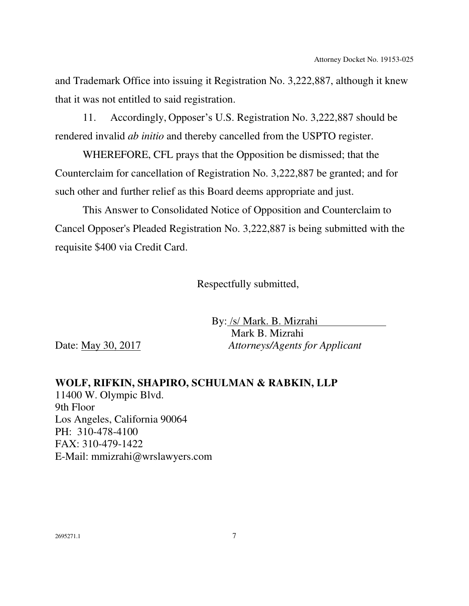and Trademark Office into issuing it Registration No. 3,222,887, although it knew that it was not entitled to said registration.

11. Accordingly, Opposer's U.S. Registration No. 3,222,887 should be rendered invalid *ab initio* and thereby cancelled from the USPTO register.

WHEREFORE, CFL prays that the Opposition be dismissed; that the Counterclaim for cancellation of Registration No. 3,222,887 be granted; and for such other and further relief as this Board deems appropriate and just.

This Answer to Consolidated Notice of Opposition and Counterclaim to Cancel Opposer's Pleaded Registration No. 3,222,887 is being submitted with the requisite \$400 via Credit Card.

Respectfully submitted,

 By: /s/ Mark. B. Mizrahi Mark B. Mizrahi Date: May 30, 2017 *Attorneys/Agents for Applicant* 

**WOLF, RIFKIN, SHAPIRO, SCHULMAN & RABKIN, LLP**  11400 W. Olympic Blvd. 9th Floor Los Angeles, California 90064 PH: 310-478-4100 FAX: 310-479-1422 E-Mail: mmizrahi@wrslawyers.com